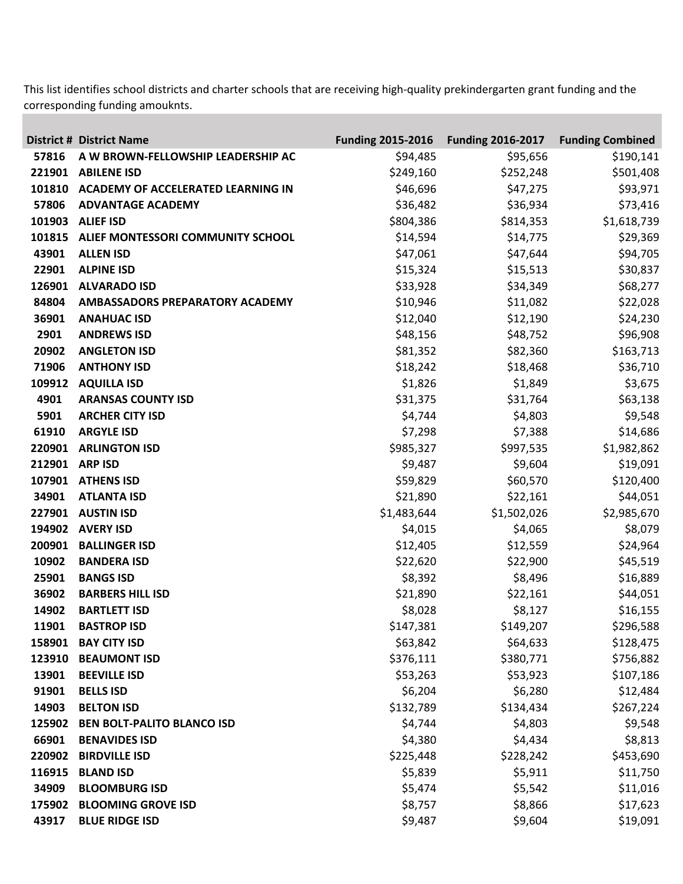This list identifies school districts and charter schools that are receiving high-quality prekindergarten grant funding and the corresponding funding amouknts.

|        | <b>District # District Name</b>    | <b>Funding 2015-2016</b> | <b>Funding 2016-2017</b> | <b>Funding Combined</b> |
|--------|------------------------------------|--------------------------|--------------------------|-------------------------|
| 57816  | A W BROWN-FELLOWSHIP LEADERSHIP AC | \$94,485                 | \$95,656                 | \$190,141               |
| 221901 | <b>ABILENE ISD</b>                 | \$249,160                | \$252,248                | \$501,408               |
| 101810 | ACADEMY OF ACCELERATED LEARNING IN | \$46,696                 | \$47,275                 | \$93,971                |
| 57806  | <b>ADVANTAGE ACADEMY</b>           | \$36,482                 | \$36,934                 | \$73,416                |
| 101903 | <b>ALIEF ISD</b>                   | \$804,386                | \$814,353                | \$1,618,739             |
| 101815 | ALIEF MONTESSORI COMMUNITY SCHOOL  | \$14,594                 | \$14,775                 | \$29,369                |
| 43901  | <b>ALLEN ISD</b>                   | \$47,061                 | \$47,644                 | \$94,705                |
| 22901  | <b>ALPINE ISD</b>                  | \$15,324                 | \$15,513                 | \$30,837                |
| 126901 | <b>ALVARADO ISD</b>                | \$33,928                 | \$34,349                 | \$68,277                |
| 84804  | AMBASSADORS PREPARATORY ACADEMY    | \$10,946                 | \$11,082                 | \$22,028                |
| 36901  | <b>ANAHUAC ISD</b>                 | \$12,040                 | \$12,190                 | \$24,230                |
| 2901   | <b>ANDREWS ISD</b>                 | \$48,156                 | \$48,752                 | \$96,908                |
| 20902  | <b>ANGLETON ISD</b>                | \$81,352                 | \$82,360                 | \$163,713               |
| 71906  | <b>ANTHONY ISD</b>                 | \$18,242                 | \$18,468                 | \$36,710                |
| 109912 | <b>AQUILLA ISD</b>                 | \$1,826                  | \$1,849                  | \$3,675                 |
| 4901   | <b>ARANSAS COUNTY ISD</b>          | \$31,375                 | \$31,764                 | \$63,138                |
| 5901   | <b>ARCHER CITY ISD</b>             | \$4,744                  | \$4,803                  | \$9,548                 |
| 61910  | <b>ARGYLE ISD</b>                  | \$7,298                  | \$7,388                  | \$14,686                |
| 220901 | <b>ARLINGTON ISD</b>               | \$985,327                | \$997,535                | \$1,982,862             |
| 212901 | <b>ARP ISD</b>                     | \$9,487                  | \$9,604                  | \$19,091                |
| 107901 | <b>ATHENS ISD</b>                  | \$59,829                 | \$60,570                 | \$120,400               |
| 34901  | <b>ATLANTA ISD</b>                 | \$21,890                 | \$22,161                 | \$44,051                |
| 227901 | <b>AUSTIN ISD</b>                  | \$1,483,644              | \$1,502,026              | \$2,985,670             |
| 194902 | <b>AVERY ISD</b>                   | \$4,015                  | \$4,065                  | \$8,079                 |
| 200901 | <b>BALLINGER ISD</b>               | \$12,405                 | \$12,559                 | \$24,964                |
| 10902  | <b>BANDERA ISD</b>                 | \$22,620                 | \$22,900                 | \$45,519                |
| 25901  | <b>BANGS ISD</b>                   | \$8,392                  | \$8,496                  | \$16,889                |
| 36902  | <b>BARBERS HILL ISD</b>            | \$21,890                 | \$22,161                 | \$44,051                |
| 14902  | <b>BARTLETT ISD</b>                | \$8,028                  | \$8,127                  | \$16,155                |
| 11901  | <b>BASTROP ISD</b>                 | \$147,381                | \$149,207                | \$296,588               |
| 158901 | <b>BAY CITY ISD</b>                | \$63,842                 | \$64,633                 | \$128,475               |
| 123910 | <b>BEAUMONT ISD</b>                | \$376,111                | \$380,771                | \$756,882               |
| 13901  | <b>BEEVILLE ISD</b>                | \$53,263                 | \$53,923                 | \$107,186               |
| 91901  | <b>BELLS ISD</b>                   | \$6,204                  | \$6,280                  | \$12,484                |
| 14903  | <b>BELTON ISD</b>                  | \$132,789                | \$134,434                | \$267,224               |
| 125902 | <b>BEN BOLT-PALITO BLANCO ISD</b>  | \$4,744                  | \$4,803                  | \$9,548                 |
| 66901  | <b>BENAVIDES ISD</b>               | \$4,380                  | \$4,434                  | \$8,813                 |
| 220902 | <b>BIRDVILLE ISD</b>               | \$225,448                | \$228,242                | \$453,690               |
| 116915 | <b>BLAND ISD</b>                   | \$5,839                  | \$5,911                  | \$11,750                |
| 34909  | <b>BLOOMBURG ISD</b>               | \$5,474                  | \$5,542                  | \$11,016                |
| 175902 | <b>BLOOMING GROVE ISD</b>          | \$8,757                  | \$8,866                  | \$17,623                |
| 43917  | <b>BLUE RIDGE ISD</b>              | \$9,487                  | \$9,604                  | \$19,091                |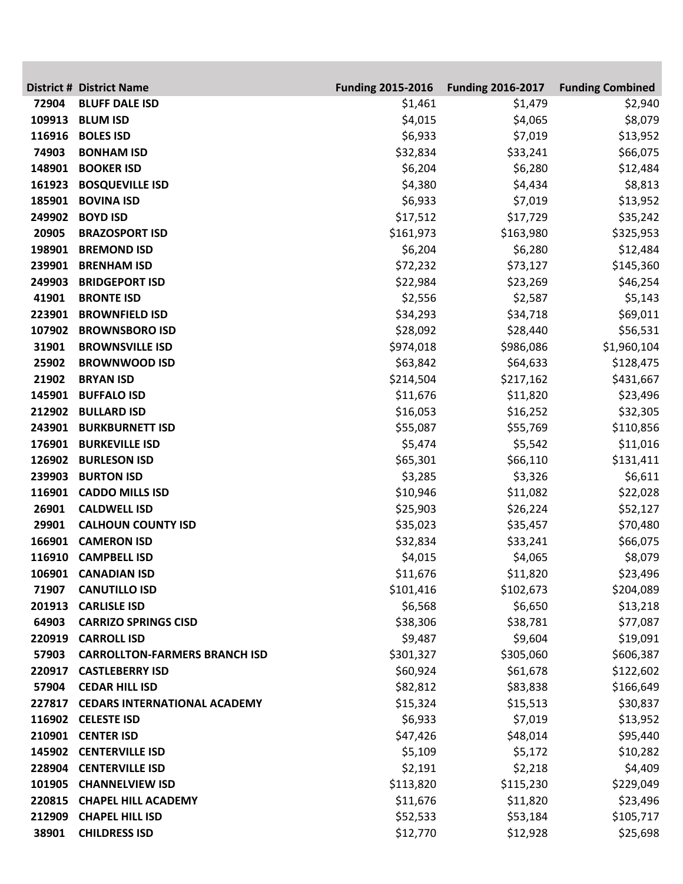|        | <b>District # District Name</b>      | <b>Funding 2015-2016</b> | <b>Funding 2016-2017</b> | <b>Funding Combined</b> |
|--------|--------------------------------------|--------------------------|--------------------------|-------------------------|
| 72904  | <b>BLUFF DALE ISD</b>                | \$1,461                  | \$1,479                  | \$2,940                 |
| 109913 | <b>BLUM ISD</b>                      | \$4,015                  | \$4,065                  | \$8,079                 |
| 116916 | <b>BOLES ISD</b>                     | \$6,933                  | \$7,019                  | \$13,952                |
| 74903  | <b>BONHAM ISD</b>                    | \$32,834                 | \$33,241                 | \$66,075                |
| 148901 | <b>BOOKER ISD</b>                    | \$6,204                  | \$6,280                  | \$12,484                |
| 161923 | <b>BOSQUEVILLE ISD</b>               | \$4,380                  | \$4,434                  | \$8,813                 |
| 185901 | <b>BOVINA ISD</b>                    | \$6,933                  | \$7,019                  | \$13,952                |
| 249902 | <b>BOYD ISD</b>                      | \$17,512                 | \$17,729                 | \$35,242                |
| 20905  | <b>BRAZOSPORT ISD</b>                | \$161,973                | \$163,980                | \$325,953               |
| 198901 | <b>BREMOND ISD</b>                   | \$6,204                  | \$6,280                  | \$12,484                |
| 239901 | <b>BRENHAM ISD</b>                   | \$72,232                 | \$73,127                 | \$145,360               |
| 249903 | <b>BRIDGEPORT ISD</b>                | \$22,984                 | \$23,269                 | \$46,254                |
| 41901  | <b>BRONTE ISD</b>                    | \$2,556                  | \$2,587                  | \$5,143                 |
| 223901 | <b>BROWNFIELD ISD</b>                | \$34,293                 | \$34,718                 | \$69,011                |
| 107902 | <b>BROWNSBORO ISD</b>                | \$28,092                 | \$28,440                 | \$56,531                |
| 31901  | <b>BROWNSVILLE ISD</b>               | \$974,018                | \$986,086                | \$1,960,104             |
| 25902  | <b>BROWNWOOD ISD</b>                 | \$63,842                 | \$64,633                 | \$128,475               |
| 21902  | <b>BRYAN ISD</b>                     | \$214,504                | \$217,162                | \$431,667               |
| 145901 | <b>BUFFALO ISD</b>                   | \$11,676                 | \$11,820                 | \$23,496                |
| 212902 | <b>BULLARD ISD</b>                   | \$16,053                 | \$16,252                 | \$32,305                |
| 243901 | <b>BURKBURNETT ISD</b>               | \$55,087                 | \$55,769                 | \$110,856               |
| 176901 | <b>BURKEVILLE ISD</b>                | \$5,474                  | \$5,542                  | \$11,016                |
| 126902 | <b>BURLESON ISD</b>                  | \$65,301                 | \$66,110                 | \$131,411               |
| 239903 | <b>BURTON ISD</b>                    | \$3,285                  | \$3,326                  | \$6,611                 |
| 116901 | <b>CADDO MILLS ISD</b>               | \$10,946                 | \$11,082                 | \$22,028                |
| 26901  | <b>CALDWELL ISD</b>                  | \$25,903                 | \$26,224                 | \$52,127                |
| 29901  | <b>CALHOUN COUNTY ISD</b>            | \$35,023                 | \$35,457                 | \$70,480                |
| 166901 | <b>CAMERON ISD</b>                   | \$32,834                 | \$33,241                 | \$66,075                |
| 116910 | <b>CAMPBELL ISD</b>                  | \$4,015                  | \$4,065                  | \$8,079                 |
|        | 106901 CANADIAN ISD                  | \$11,676                 | \$11,820                 | \$23,496                |
| 71907  | <b>CANUTILLO ISD</b>                 | \$101,416                | \$102,673                | \$204,089               |
| 201913 | <b>CARLISLE ISD</b>                  | \$6,568                  | \$6,650                  | \$13,218                |
| 64903  | <b>CARRIZO SPRINGS CISD</b>          | \$38,306                 | \$38,781                 | \$77,087                |
| 220919 | <b>CARROLL ISD</b>                   | \$9,487                  | \$9,604                  | \$19,091                |
| 57903  | <b>CARROLLTON-FARMERS BRANCH ISD</b> | \$301,327                | \$305,060                | \$606,387               |
| 220917 | <b>CASTLEBERRY ISD</b>               | \$60,924                 | \$61,678                 | \$122,602               |
| 57904  | <b>CEDAR HILL ISD</b>                | \$82,812                 | \$83,838                 | \$166,649               |
|        | 227817 CEDARS INTERNATIONAL ACADEMY  | \$15,324                 | \$15,513                 | \$30,837                |
|        | 116902 CELESTE ISD                   | \$6,933                  | \$7,019                  | \$13,952                |
|        | 210901 CENTER ISD                    | \$47,426                 | \$48,014                 | \$95,440                |
|        | 145902 CENTERVILLE ISD               | \$5,109                  | \$5,172                  | \$10,282                |
|        | 228904 CENTERVILLE ISD               | \$2,191                  | \$2,218                  | \$4,409                 |
|        | 101905 CHANNELVIEW ISD               | \$113,820                | \$115,230                | \$229,049               |
|        | 220815 CHAPEL HILL ACADEMY           | \$11,676                 | \$11,820                 | \$23,496                |
| 212909 | <b>CHAPEL HILL ISD</b>               | \$52,533                 | \$53,184                 | \$105,717               |
| 38901  | <b>CHILDRESS ISD</b>                 | \$12,770                 | \$12,928                 | \$25,698                |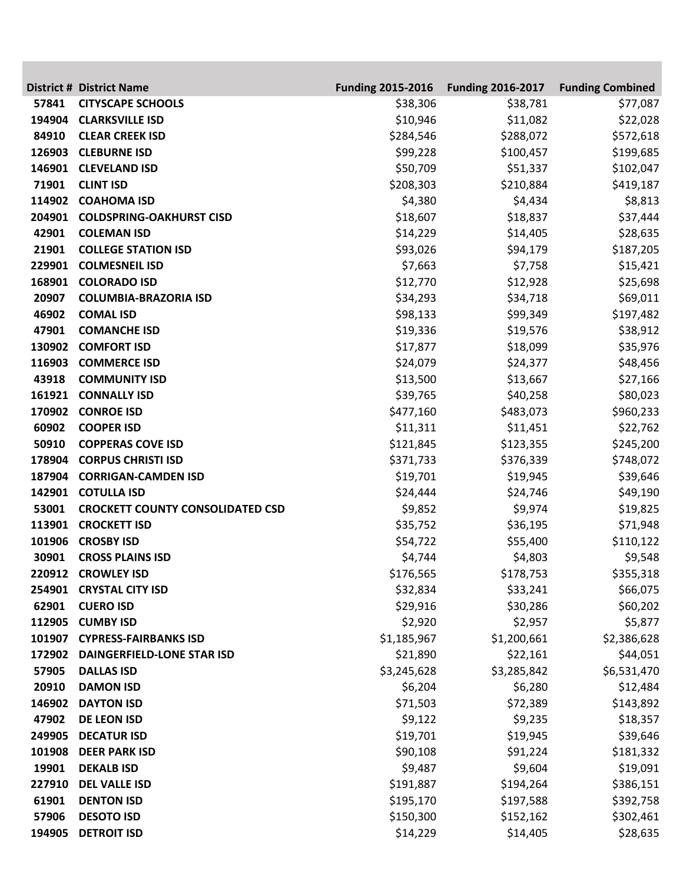|        | <b>District # District Name</b>         | <b>Funding 2015-2016</b> | <b>Funding 2016-2017</b> | <b>Funding Combined</b> |
|--------|-----------------------------------------|--------------------------|--------------------------|-------------------------|
| 57841  | <b>CITYSCAPE SCHOOLS</b>                | \$38,306                 | \$38,781                 | \$77,087                |
| 194904 | <b>CLARKSVILLE ISD</b>                  | \$10,946                 | \$11,082                 | \$22,028                |
| 84910  | <b>CLEAR CREEK ISD</b>                  | \$284,546                | \$288,072                | \$572,618               |
| 126903 | <b>CLEBURNE ISD</b>                     | \$99,228                 | \$100,457                | \$199,685               |
| 146901 | <b>CLEVELAND ISD</b>                    | \$50,709                 | \$51,337                 | \$102,047               |
| 71901  | <b>CLINT ISD</b>                        | \$208,303                | \$210,884                | \$419,187               |
| 114902 | <b>COAHOMA ISD</b>                      | \$4,380                  | \$4,434                  | \$8,813                 |
| 204901 | <b>COLDSPRING-OAKHURST CISD</b>         | \$18,607                 | \$18,837                 | \$37,444                |
| 42901  | <b>COLEMAN ISD</b>                      | \$14,229                 | \$14,405                 | \$28,635                |
| 21901  | <b>COLLEGE STATION ISD</b>              | \$93,026                 | \$94,179                 | \$187,205               |
| 229901 | <b>COLMESNEIL ISD</b>                   | \$7,663                  | \$7,758                  | \$15,421                |
| 168901 | <b>COLORADO ISD</b>                     | \$12,770                 | \$12,928                 | \$25,698                |
| 20907  | <b>COLUMBIA-BRAZORIA ISD</b>            | \$34,293                 | \$34,718                 | \$69,011                |
| 46902  | <b>COMAL ISD</b>                        | \$98,133                 | \$99,349                 | \$197,482               |
| 47901  | <b>COMANCHE ISD</b>                     | \$19,336                 | \$19,576                 | \$38,912                |
| 130902 | <b>COMFORT ISD</b>                      | \$17,877                 | \$18,099                 | \$35,976                |
| 116903 | <b>COMMERCE ISD</b>                     | \$24,079                 | \$24,377                 | \$48,456                |
| 43918  | <b>COMMUNITY ISD</b>                    | \$13,500                 | \$13,667                 | \$27,166                |
| 161921 | <b>CONNALLY ISD</b>                     | \$39,765                 | \$40,258                 | \$80,023                |
| 170902 | <b>CONROE ISD</b>                       | \$477,160                | \$483,073                | \$960,233               |
| 60902  | <b>COOPER ISD</b>                       | \$11,311                 | \$11,451                 | \$22,762                |
| 50910  | <b>COPPERAS COVE ISD</b>                | \$121,845                | \$123,355                | \$245,200               |
| 178904 | <b>CORPUS CHRISTI ISD</b>               | \$371,733                | \$376,339                | \$748,072               |
| 187904 | <b>CORRIGAN-CAMDEN ISD</b>              | \$19,701                 | \$19,945                 | \$39,646                |
| 142901 | <b>COTULLA ISD</b>                      | \$24,444                 | \$24,746                 | \$49,190                |
| 53001  | <b>CROCKETT COUNTY CONSOLIDATED CSD</b> | \$9,852                  | \$9,974                  | \$19,825                |
| 113901 | <b>CROCKETT ISD</b>                     | \$35,752                 | \$36,195                 | \$71,948                |
| 101906 | <b>CROSBY ISD</b>                       | \$54,722                 | \$55,400                 | \$110,122               |
| 30901  | <b>CROSS PLAINS ISD</b>                 | \$4,744                  | \$4,803                  | \$9,548                 |
|        | 220912 CROWLEY ISD                      | \$176,565                | \$178,753                | \$355,318               |
|        | 254901 CRYSTAL CITY ISD                 | \$32,834                 | \$33,241                 | \$66,075                |
| 62901  | <b>CUERO ISD</b>                        | \$29,916                 | \$30,286                 | \$60,202                |
| 112905 | <b>CUMBY ISD</b>                        | \$2,920                  | \$2,957                  | \$5,877                 |
| 101907 | <b>CYPRESS-FAIRBANKS ISD</b>            | \$1,185,967              | \$1,200,661              | \$2,386,628             |
| 172902 | <b>DAINGERFIELD-LONE STAR ISD</b>       | \$21,890                 | \$22,161                 | \$44,051                |
| 57905  | <b>DALLAS ISD</b>                       | \$3,245,628              | \$3,285,842              | \$6,531,470             |
| 20910  | <b>DAMON ISD</b>                        | \$6,204                  | \$6,280                  | \$12,484                |
| 146902 | <b>DAYTON ISD</b>                       | \$71,503                 | \$72,389                 | \$143,892               |
| 47902  | <b>DE LEON ISD</b>                      | \$9,122                  | \$9,235                  | \$18,357                |
| 249905 | <b>DECATUR ISD</b>                      | \$19,701                 | \$19,945                 | \$39,646                |
| 101908 | <b>DEER PARK ISD</b>                    | \$90,108                 | \$91,224                 | \$181,332               |
| 19901  | <b>DEKALB ISD</b>                       | \$9,487                  | \$9,604                  | \$19,091                |
| 227910 | <b>DEL VALLE ISD</b>                    | \$191,887                | \$194,264                | \$386,151               |
| 61901  | <b>DENTON ISD</b>                       | \$195,170                | \$197,588                | \$392,758               |
| 57906  | <b>DESOTO ISD</b>                       | \$150,300                | \$152,162                | \$302,461               |
| 194905 | <b>DETROIT ISD</b>                      | \$14,229                 | \$14,405                 | \$28,635                |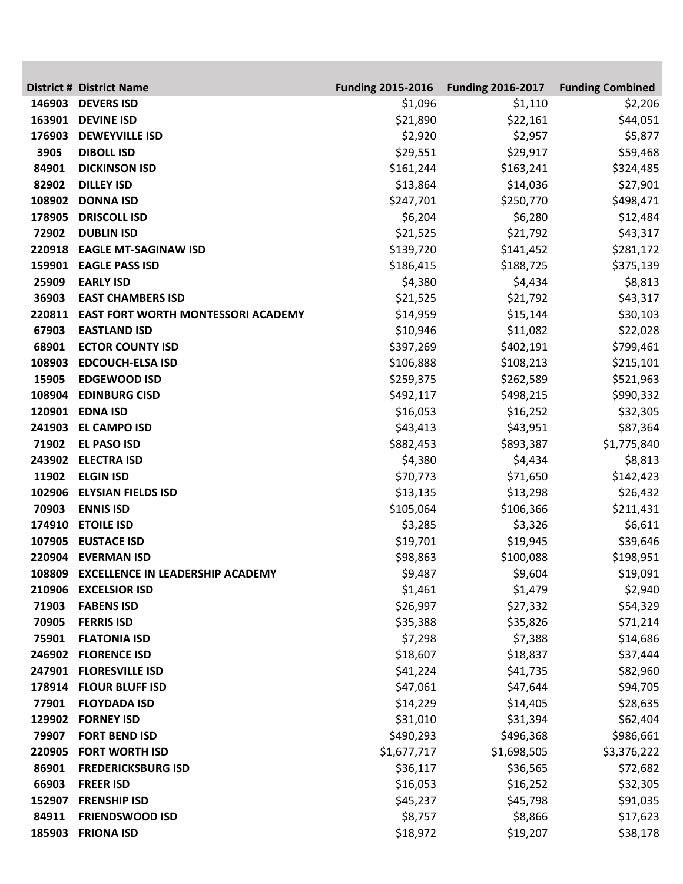|        | <b>District # District Name</b>           | <b>Funding 2015-2016</b> | <b>Funding 2016-2017</b> | <b>Funding Combined</b> |
|--------|-------------------------------------------|--------------------------|--------------------------|-------------------------|
| 146903 | <b>DEVERS ISD</b>                         | \$1,096                  | \$1,110                  | \$2,206                 |
| 163901 | <b>DEVINE ISD</b>                         | \$21,890                 | \$22,161                 | \$44,051                |
| 176903 | <b>DEWEYVILLE ISD</b>                     | \$2,920                  | \$2,957                  | \$5,877                 |
| 3905   | <b>DIBOLL ISD</b>                         | \$29,551                 | \$29,917                 | \$59,468                |
| 84901  | <b>DICKINSON ISD</b>                      | \$161,244                | \$163,241                | \$324,485               |
| 82902  | <b>DILLEY ISD</b>                         | \$13,864                 | \$14,036                 | \$27,901                |
| 108902 | <b>DONNA ISD</b>                          | \$247,701                | \$250,770                | \$498,471               |
| 178905 | <b>DRISCOLL ISD</b>                       | \$6,204                  | \$6,280                  | \$12,484                |
| 72902  | <b>DUBLIN ISD</b>                         | \$21,525                 | \$21,792                 | \$43,317                |
| 220918 | <b>EAGLE MT-SAGINAW ISD</b>               | \$139,720                | \$141,452                | \$281,172               |
| 159901 | <b>EAGLE PASS ISD</b>                     | \$186,415                | \$188,725                | \$375,139               |
| 25909  | <b>EARLY ISD</b>                          | \$4,380                  | \$4,434                  | \$8,813                 |
| 36903  | <b>EAST CHAMBERS ISD</b>                  | \$21,525                 | \$21,792                 | \$43,317                |
| 220811 | <b>EAST FORT WORTH MONTESSORI ACADEMY</b> | \$14,959                 | \$15,144                 | \$30,103                |
| 67903  | <b>EASTLAND ISD</b>                       | \$10,946                 | \$11,082                 | \$22,028                |
| 68901  | <b>ECTOR COUNTY ISD</b>                   | \$397,269                | \$402,191                | \$799,461               |
| 108903 | <b>EDCOUCH-ELSA ISD</b>                   | \$106,888                | \$108,213                | \$215,101               |
| 15905  | <b>EDGEWOOD ISD</b>                       | \$259,375                | \$262,589                | \$521,963               |
| 108904 | <b>EDINBURG CISD</b>                      | \$492,117                | \$498,215                | \$990,332               |
|        | 120901 EDNA ISD                           | \$16,053                 | \$16,252                 | \$32,305                |
| 241903 | <b>EL CAMPO ISD</b>                       | \$43,413                 | \$43,951                 | \$87,364                |
| 71902  | <b>EL PASO ISD</b>                        | \$882,453                | \$893,387                | \$1,775,840             |
| 243902 | <b>ELECTRA ISD</b>                        | \$4,380                  | \$4,434                  | \$8,813                 |
| 11902  | <b>ELGIN ISD</b>                          | \$70,773                 | \$71,650                 | \$142,423               |
| 102906 | <b>ELYSIAN FIELDS ISD</b>                 | \$13,135                 | \$13,298                 | \$26,432                |
| 70903  | <b>ENNIS ISD</b>                          | \$105,064                | \$106,366                | \$211,431               |
| 174910 | <b>ETOILE ISD</b>                         | \$3,285                  | \$3,326                  | \$6,611                 |
| 107905 | <b>EUSTACE ISD</b>                        | \$19,701                 | \$19,945                 | \$39,646                |
| 220904 | <b>EVERMAN ISD</b>                        | \$98,863                 | \$100,088                | \$198,951               |
|        | 108809 EXCELLENCE IN LEADERSHIP ACADEMY   | \$9,487                  | \$9,604                  | \$19,091                |
|        | 210906 EXCELSIOR ISD                      | \$1,461                  | \$1,479                  | \$2,940                 |
| 71903  | <b>FABENS ISD</b>                         | \$26,997                 | \$27,332                 | \$54,329                |
| 70905  | <b>FERRIS ISD</b>                         | \$35,388                 | \$35,826                 | \$71,214                |
| 75901  | <b>FLATONIA ISD</b>                       | \$7,298                  | \$7,388                  | \$14,686                |
| 246902 | <b>FLORENCE ISD</b>                       | \$18,607                 | \$18,837                 | \$37,444                |
|        | 247901 FLORESVILLE ISD                    | \$41,224                 | \$41,735                 | \$82,960                |
|        | 178914 FLOUR BLUFF ISD                    | \$47,061                 | \$47,644                 | \$94,705                |
| 77901  | <b>FLOYDADA ISD</b>                       | \$14,229                 | \$14,405                 | \$28,635                |
| 129902 | <b>FORNEY ISD</b>                         | \$31,010                 | \$31,394                 | \$62,404                |
| 79907  | <b>FORT BEND ISD</b>                      | \$490,293                | \$496,368                | \$986,661               |
| 220905 | <b>FORT WORTH ISD</b>                     | \$1,677,717              | \$1,698,505              | \$3,376,222             |
| 86901  | <b>FREDERICKSBURG ISD</b>                 | \$36,117                 | \$36,565                 | \$72,682                |
| 66903  | <b>FREER ISD</b>                          | \$16,053                 | \$16,252                 | \$32,305                |
| 152907 | <b>FRENSHIP ISD</b>                       | \$45,237                 | \$45,798                 | \$91,035                |
| 84911  | <b>FRIENDSWOOD ISD</b>                    | \$8,757                  | \$8,866                  | \$17,623                |
| 185903 | <b>FRIONA ISD</b>                         | \$18,972                 | \$19,207                 | \$38,178                |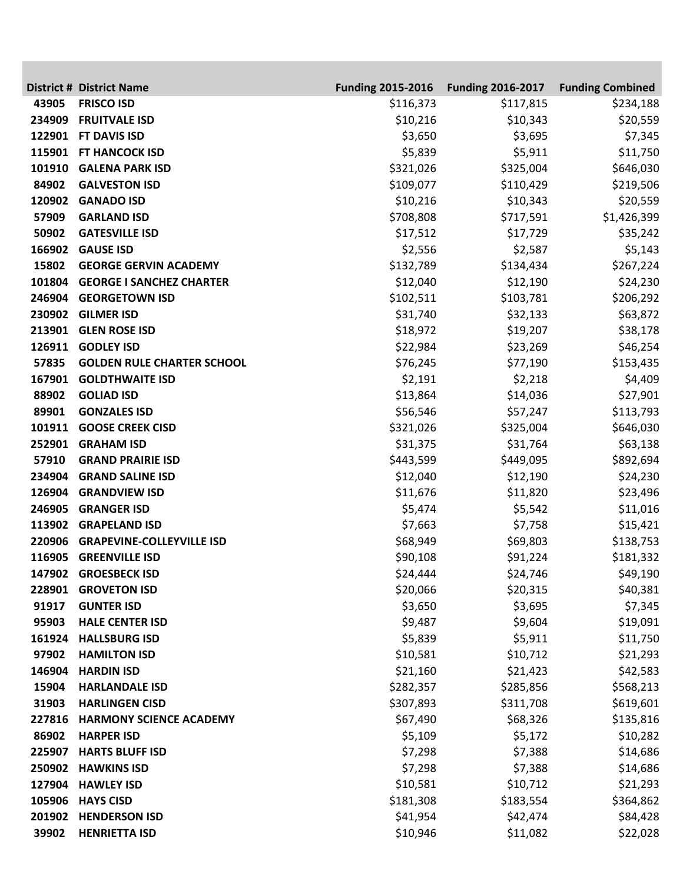|                 | <b>District # District Name</b>                             | <b>Funding 2015-2016</b> | <b>Funding 2016-2017</b> | <b>Funding Combined</b> |
|-----------------|-------------------------------------------------------------|--------------------------|--------------------------|-------------------------|
| 43905           | <b>FRISCO ISD</b>                                           | \$116,373                | \$117,815                | \$234,188               |
| 234909          | <b>FRUITVALE ISD</b>                                        | \$10,216                 | \$10,343                 | \$20,559                |
|                 | 122901 FT DAVIS ISD                                         | \$3,650                  | \$3,695                  | \$7,345                 |
| 115901          | <b>FT HANCOCK ISD</b>                                       | \$5,839                  | \$5,911                  | \$11,750                |
| 101910          | <b>GALENA PARK ISD</b>                                      | \$321,026                | \$325,004                | \$646,030               |
| 84902           | <b>GALVESTON ISD</b>                                        | \$109,077                | \$110,429                | \$219,506               |
| 120902          | <b>GANADO ISD</b>                                           | \$10,216                 | \$10,343                 | \$20,559                |
| 57909           | <b>GARLAND ISD</b>                                          | \$708,808                | \$717,591                | \$1,426,399             |
| 50902           | <b>GATESVILLE ISD</b>                                       | \$17,512                 | \$17,729                 | \$35,242                |
| 166902          | <b>GAUSE ISD</b>                                            | \$2,556                  | \$2,587                  | \$5,143                 |
| 15802           | <b>GEORGE GERVIN ACADEMY</b>                                | \$132,789                | \$134,434                | \$267,224               |
| 101804          | <b>GEORGE I SANCHEZ CHARTER</b>                             | \$12,040                 | \$12,190                 | \$24,230                |
| 246904          | <b>GEORGETOWN ISD</b>                                       | \$102,511                | \$103,781                | \$206,292               |
|                 | 230902 GILMER ISD                                           | \$31,740                 | \$32,133                 | \$63,872                |
| 213901          | <b>GLEN ROSE ISD</b>                                        | \$18,972                 | \$19,207                 | \$38,178                |
| 126911<br>57835 | <b>GODLEY ISD</b>                                           | \$22,984                 | \$23,269                 | \$46,254                |
| 167901          | <b>GOLDEN RULE CHARTER SCHOOL</b><br><b>GOLDTHWAITE ISD</b> | \$76,245                 | \$77,190                 | \$153,435               |
| 88902           | <b>GOLIAD ISD</b>                                           | \$2,191<br>\$13,864      | \$2,218<br>\$14,036      | \$4,409<br>\$27,901     |
| 89901           | <b>GONZALES ISD</b>                                         | \$56,546                 | \$57,247                 | \$113,793               |
| 101911          | <b>GOOSE CREEK CISD</b>                                     | \$321,026                | \$325,004                | \$646,030               |
| 252901          | <b>GRAHAM ISD</b>                                           | \$31,375                 | \$31,764                 | \$63,138                |
| 57910           | <b>GRAND PRAIRIE ISD</b>                                    | \$443,599                | \$449,095                | \$892,694               |
| 234904          | <b>GRAND SALINE ISD</b>                                     | \$12,040                 | \$12,190                 | \$24,230                |
| 126904          | <b>GRANDVIEW ISD</b>                                        | \$11,676                 | \$11,820                 | \$23,496                |
| 246905          | <b>GRANGER ISD</b>                                          | \$5,474                  | \$5,542                  | \$11,016                |
| 113902          | <b>GRAPELAND ISD</b>                                        | \$7,663                  | \$7,758                  | \$15,421                |
| 220906          | <b>GRAPEVINE-COLLEYVILLE ISD</b>                            | \$68,949                 | \$69,803                 | \$138,753               |
| 116905          | <b>GREENVILLE ISD</b>                                       | \$90,108                 | \$91,224                 | \$181,332               |
|                 | 147902 GROESBECK ISD                                        | \$24,444                 | \$24,746                 | \$49,190                |
|                 | 228901 GROVETON ISD                                         | \$20,066                 | \$20,315                 | \$40,381                |
| 91917           | <b>GUNTER ISD</b>                                           | \$3,650                  | \$3,695                  | \$7,345                 |
| 95903           | <b>HALE CENTER ISD</b>                                      | \$9,487                  | \$9,604                  | \$19,091                |
| 161924          | <b>HALLSBURG ISD</b>                                        | \$5,839                  | \$5,911                  | \$11,750                |
| 97902           | <b>HAMILTON ISD</b>                                         | \$10,581                 | \$10,712                 | \$21,293                |
| 146904          | <b>HARDIN ISD</b>                                           | \$21,160                 | \$21,423                 | \$42,583                |
| 15904           | <b>HARLANDALE ISD</b>                                       | \$282,357                | \$285,856                | \$568,213               |
| 31903           | <b>HARLINGEN CISD</b>                                       | \$307,893                | \$311,708                | \$619,601               |
| 227816          | <b>HARMONY SCIENCE ACADEMY</b>                              | \$67,490                 | \$68,326                 | \$135,816               |
| 86902           | <b>HARPER ISD</b>                                           | \$5,109                  | \$5,172                  | \$10,282                |
| 225907          | <b>HARTS BLUFF ISD</b>                                      | \$7,298                  | \$7,388                  | \$14,686                |
| 250902          | <b>HAWKINS ISD</b>                                          | \$7,298                  | \$7,388                  | \$14,686                |
|                 | 127904 HAWLEY ISD                                           | \$10,581                 | \$10,712                 | \$21,293                |
|                 | 105906 HAYS CISD                                            | \$181,308                | \$183,554                | \$364,862               |
|                 | 201902 HENDERSON ISD                                        | \$41,954                 | \$42,474                 | \$84,428                |
| 39902           | <b>HENRIETTA ISD</b>                                        | \$10,946                 | \$11,082                 | \$22,028                |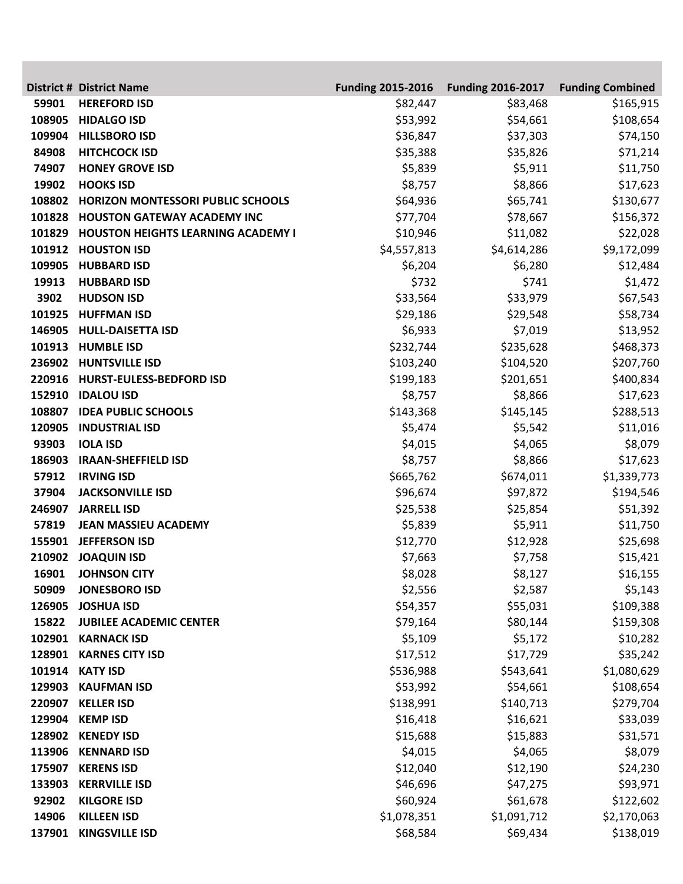|        | <b>District # District Name</b>           | <b>Funding 2015-2016</b> | <b>Funding 2016-2017</b> | <b>Funding Combined</b> |
|--------|-------------------------------------------|--------------------------|--------------------------|-------------------------|
| 59901  | <b>HEREFORD ISD</b>                       | \$82,447                 | \$83,468                 | \$165,915               |
| 108905 | <b>HIDALGO ISD</b>                        | \$53,992                 | \$54,661                 | \$108,654               |
| 109904 | <b>HILLSBORO ISD</b>                      | \$36,847                 | \$37,303                 | \$74,150                |
| 84908  | <b>HITCHCOCK ISD</b>                      | \$35,388                 | \$35,826                 | \$71,214                |
| 74907  | <b>HONEY GROVE ISD</b>                    | \$5,839                  | \$5,911                  | \$11,750                |
| 19902  | <b>HOOKS ISD</b>                          | \$8,757                  | \$8,866                  | \$17,623                |
| 108802 | HORIZON MONTESSORI PUBLIC SCHOOLS         | \$64,936                 | \$65,741                 | \$130,677               |
| 101828 | <b>HOUSTON GATEWAY ACADEMY INC</b>        | \$77,704                 | \$78,667                 | \$156,372               |
| 101829 | <b>HOUSTON HEIGHTS LEARNING ACADEMY I</b> | \$10,946                 | \$11,082                 | \$22,028                |
| 101912 | <b>HOUSTON ISD</b>                        | \$4,557,813              | \$4,614,286              | \$9,172,099             |
| 109905 | <b>HUBBARD ISD</b>                        | \$6,204                  | \$6,280                  | \$12,484                |
| 19913  | <b>HUBBARD ISD</b>                        | \$732                    | \$741                    | \$1,472                 |
| 3902   | <b>HUDSON ISD</b>                         | \$33,564                 | \$33,979                 | \$67,543                |
| 101925 | <b>HUFFMAN ISD</b>                        | \$29,186                 | \$29,548                 | \$58,734                |
| 146905 | <b>HULL-DAISETTA ISD</b>                  | \$6,933                  | \$7,019                  | \$13,952                |
| 101913 | <b>HUMBLE ISD</b>                         | \$232,744                | \$235,628                | \$468,373               |
| 236902 | <b>HUNTSVILLE ISD</b>                     | \$103,240                | \$104,520                | \$207,760               |
| 220916 | HURST-EULESS-BEDFORD ISD                  | \$199,183                | \$201,651                | \$400,834               |
| 152910 | <b>IDALOU ISD</b>                         | \$8,757                  | \$8,866                  | \$17,623                |
| 108807 | <b>IDEA PUBLIC SCHOOLS</b>                | \$143,368                | \$145,145                | \$288,513               |
| 120905 | <b>INDUSTRIAL ISD</b>                     | \$5,474                  | \$5,542                  | \$11,016                |
| 93903  | <b>IOLA ISD</b>                           | \$4,015                  | \$4,065                  | \$8,079                 |
| 186903 | <b>IRAAN-SHEFFIELD ISD</b>                | \$8,757                  | \$8,866                  | \$17,623                |
| 57912  | <b>IRVING ISD</b>                         | \$665,762                | \$674,011                | \$1,339,773             |
| 37904  | <b>JACKSONVILLE ISD</b>                   | \$96,674                 | \$97,872                 | \$194,546               |
| 246907 | <b>JARRELL ISD</b>                        | \$25,538                 | \$25,854                 | \$51,392                |
| 57819  | <b>JEAN MASSIEU ACADEMY</b>               | \$5,839                  | \$5,911                  | \$11,750                |
| 155901 | <b>JEFFERSON ISD</b>                      | \$12,770                 | \$12,928                 | \$25,698                |
| 210902 | <b>JOAQUIN ISD</b>                        | \$7,663                  | \$7,758                  | \$15,421                |
|        | 16901 JOHNSON CITY                        | \$8,028                  | \$8,127                  | \$16,155                |
| 50909  | <b>JONESBORO ISD</b>                      | \$2,556                  | \$2,587                  | \$5,143                 |
| 126905 | <b>JOSHUA ISD</b>                         | \$54,357                 | \$55,031                 | \$109,388               |
| 15822  | <b>JUBILEE ACADEMIC CENTER</b>            | \$79,164                 | \$80,144                 | \$159,308               |
| 102901 | <b>KARNACK ISD</b>                        | \$5,109                  | \$5,172                  | \$10,282                |
| 128901 | <b>KARNES CITY ISD</b>                    | \$17,512                 | \$17,729                 | \$35,242                |
| 101914 | <b>KATY ISD</b>                           | \$536,988                | \$543,641                | \$1,080,629             |
| 129903 | <b>KAUFMAN ISD</b>                        | \$53,992                 | \$54,661                 | \$108,654               |
| 220907 | <b>KELLER ISD</b>                         | \$138,991                | \$140,713                | \$279,704               |
| 129904 | <b>KEMP ISD</b>                           | \$16,418                 | \$16,621                 | \$33,039                |
| 128902 | <b>KENEDY ISD</b>                         | \$15,688                 | \$15,883                 | \$31,571                |
| 113906 | <b>KENNARD ISD</b>                        | \$4,015                  | \$4,065                  | \$8,079                 |
| 175907 | <b>KERENS ISD</b>                         | \$12,040                 | \$12,190                 | \$24,230                |
| 133903 | <b>KERRVILLE ISD</b>                      | \$46,696                 | \$47,275                 | \$93,971                |
| 92902  | <b>KILGORE ISD</b>                        | \$60,924                 | \$61,678                 | \$122,602               |
| 14906  | <b>KILLEEN ISD</b>                        | \$1,078,351              | \$1,091,712              | \$2,170,063             |
| 137901 | <b>KINGSVILLE ISD</b>                     | \$68,584                 | \$69,434                 | \$138,019               |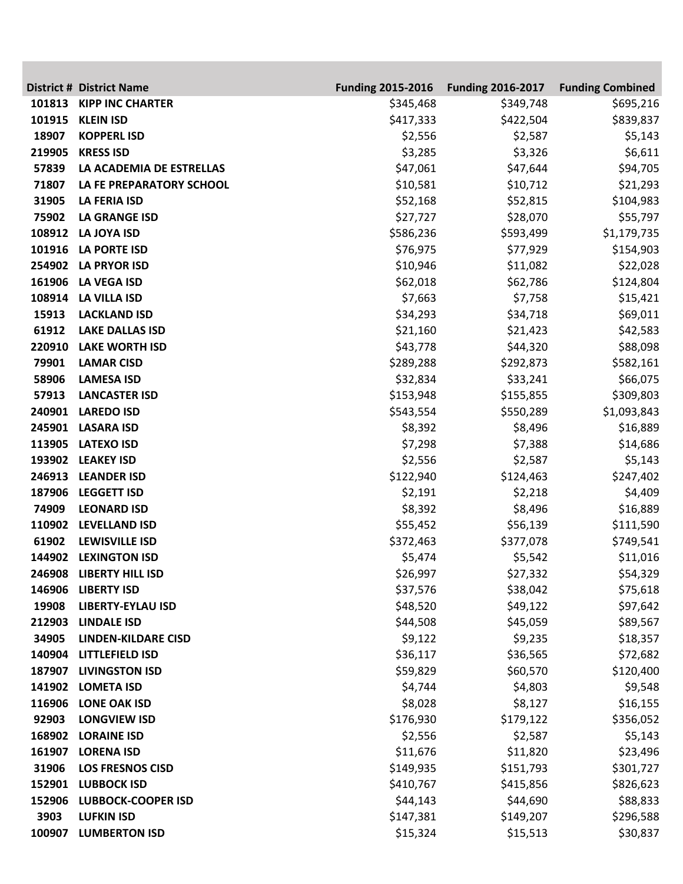|        | <b>District # District Name</b> | <b>Funding 2015-2016</b> | <b>Funding 2016-2017</b> | <b>Funding Combined</b> |
|--------|---------------------------------|--------------------------|--------------------------|-------------------------|
| 101813 | <b>KIPP INC CHARTER</b>         | \$345,468                | \$349,748                | \$695,216               |
| 101915 | <b>KLEIN ISD</b>                | \$417,333                | \$422,504                | \$839,837               |
| 18907  | <b>KOPPERL ISD</b>              | \$2,556                  | \$2,587                  | \$5,143                 |
| 219905 | <b>KRESS ISD</b>                | \$3,285                  | \$3,326                  | \$6,611                 |
| 57839  | LA ACADEMIA DE ESTRELLAS        | \$47,061                 | \$47,644                 | \$94,705                |
| 71807  | LA FE PREPARATORY SCHOOL        | \$10,581                 | \$10,712                 | \$21,293                |
| 31905  | <b>LA FERIA ISD</b>             | \$52,168                 | \$52,815                 | \$104,983               |
| 75902  | <b>LA GRANGE ISD</b>            | \$27,727                 | \$28,070                 | \$55,797                |
| 108912 | <b>LA JOYA ISD</b>              | \$586,236                | \$593,499                | \$1,179,735             |
| 101916 | <b>LA PORTE ISD</b>             | \$76,975                 | \$77,929                 | \$154,903               |
| 254902 | <b>LA PRYOR ISD</b>             | \$10,946                 | \$11,082                 | \$22,028                |
| 161906 | <b>LA VEGA ISD</b>              | \$62,018                 | \$62,786                 | \$124,804               |
| 108914 | <b>LA VILLA ISD</b>             | \$7,663                  | \$7,758                  | \$15,421                |
| 15913  | <b>LACKLAND ISD</b>             | \$34,293                 | \$34,718                 | \$69,011                |
| 61912  | <b>LAKE DALLAS ISD</b>          | \$21,160                 | \$21,423                 | \$42,583                |
| 220910 | <b>LAKE WORTH ISD</b>           | \$43,778                 | \$44,320                 | \$88,098                |
| 79901  | <b>LAMAR CISD</b>               | \$289,288                | \$292,873                | \$582,161               |
| 58906  | <b>LAMESA ISD</b>               | \$32,834                 | \$33,241                 | \$66,075                |
| 57913  | <b>LANCASTER ISD</b>            | \$153,948                | \$155,855                | \$309,803               |
| 240901 | <b>LAREDO ISD</b>               | \$543,554                | \$550,289                | \$1,093,843             |
| 245901 | <b>LASARA ISD</b>               | \$8,392                  | \$8,496                  | \$16,889                |
| 113905 | <b>LATEXO ISD</b>               | \$7,298                  | \$7,388                  | \$14,686                |
| 193902 | <b>LEAKEY ISD</b>               | \$2,556                  | \$2,587                  | \$5,143                 |
| 246913 | <b>LEANDER ISD</b>              | \$122,940                | \$124,463                | \$247,402               |
| 187906 | <b>LEGGETT ISD</b>              | \$2,191                  | \$2,218                  | \$4,409                 |
| 74909  | <b>LEONARD ISD</b>              | \$8,392                  | \$8,496                  | \$16,889                |
| 110902 | <b>LEVELLAND ISD</b>            | \$55,452                 | \$56,139                 | \$111,590               |
| 61902  | <b>LEWISVILLE ISD</b>           | \$372,463                | \$377,078                | \$749,541               |
| 144902 | <b>LEXINGTON ISD</b>            | \$5,474                  | \$5,542                  | \$11,016                |
|        | 246908 LIBERTY HILL ISD         | \$26,997                 | \$27,332                 | \$54,329                |
|        | 146906 LIBERTY ISD              | \$37,576                 | \$38,042                 | \$75,618                |
| 19908  | <b>LIBERTY-EYLAU ISD</b>        | \$48,520                 | \$49,122                 | \$97,642                |
| 212903 | <b>LINDALE ISD</b>              | \$44,508                 | \$45,059                 | \$89,567                |
| 34905  | <b>LINDEN-KILDARE CISD</b>      | \$9,122                  | \$9,235                  | \$18,357                |
| 140904 | <b>LITTLEFIELD ISD</b>          | \$36,117                 | \$36,565                 | \$72,682                |
| 187907 | <b>LIVINGSTON ISD</b>           | \$59,829                 | \$60,570                 | \$120,400               |
| 141902 | <b>LOMETA ISD</b>               | \$4,744                  | \$4,803                  | \$9,548                 |
| 116906 | <b>LONE OAK ISD</b>             | \$8,028                  | \$8,127                  | \$16,155                |
| 92903  | <b>LONGVIEW ISD</b>             | \$176,930                | \$179,122                | \$356,052               |
| 168902 | <b>LORAINE ISD</b>              | \$2,556                  | \$2,587                  | \$5,143                 |
| 161907 | <b>LORENA ISD</b>               | \$11,676                 | \$11,820                 | \$23,496                |
| 31906  | <b>LOS FRESNOS CISD</b>         | \$149,935                | \$151,793                | \$301,727               |
| 152901 | <b>LUBBOCK ISD</b>              | \$410,767                | \$415,856                | \$826,623               |
| 152906 | <b>LUBBOCK-COOPER ISD</b>       | \$44,143                 | \$44,690                 | \$88,833                |
| 3903   | <b>LUFKIN ISD</b>               | \$147,381                | \$149,207                | \$296,588               |
| 100907 | <b>LUMBERTON ISD</b>            | \$15,324                 | \$15,513                 | \$30,837                |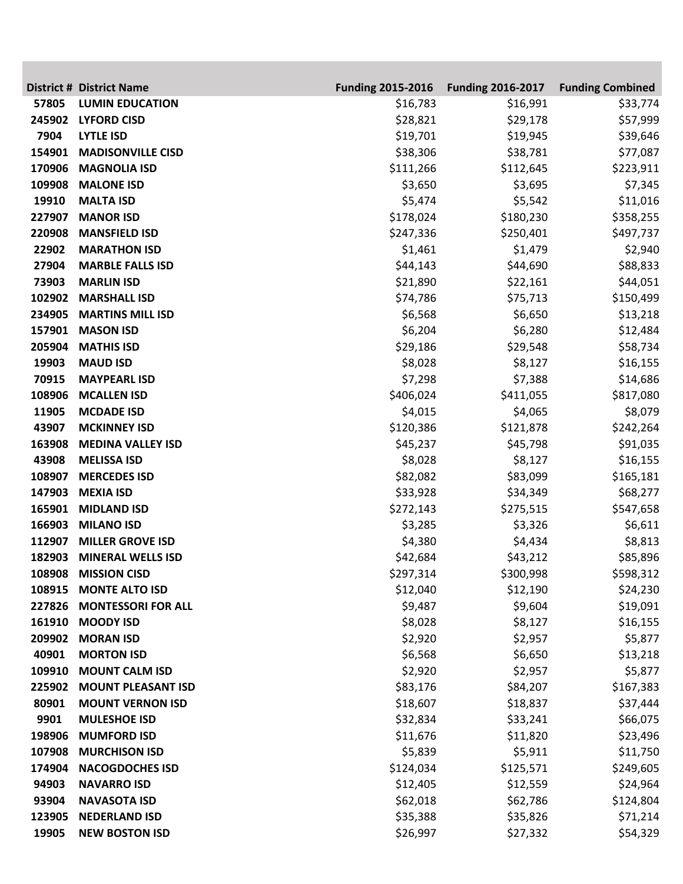|                 | <b>District # District Name</b>            | <b>Funding 2015-2016</b> | <b>Funding 2016-2017</b> | <b>Funding Combined</b> |
|-----------------|--------------------------------------------|--------------------------|--------------------------|-------------------------|
| 57805           | <b>LUMIN EDUCATION</b>                     | \$16,783                 | \$16,991                 | \$33,774                |
|                 | 245902 LYFORD CISD                         | \$28,821                 | \$29,178                 | \$57,999                |
| 7904            | <b>LYTLE ISD</b>                           | \$19,701                 | \$19,945                 | \$39,646                |
| 154901          | <b>MADISONVILLE CISD</b>                   | \$38,306                 | \$38,781                 | \$77,087                |
| 170906          | <b>MAGNOLIA ISD</b>                        | \$111,266                | \$112,645                | \$223,911               |
| 109908          | <b>MALONE ISD</b>                          | \$3,650                  | \$3,695                  | \$7,345                 |
| 19910           | <b>MALTA ISD</b>                           | \$5,474                  | \$5,542                  | \$11,016                |
| 227907          | <b>MANOR ISD</b>                           | \$178,024                | \$180,230                | \$358,255               |
| 220908          | <b>MANSFIELD ISD</b>                       | \$247,336                | \$250,401                | \$497,737               |
| 22902           | <b>MARATHON ISD</b>                        | \$1,461                  | \$1,479                  | \$2,940                 |
| 27904           | <b>MARBLE FALLS ISD</b>                    | \$44,143                 | \$44,690                 | \$88,833                |
| 73903           | <b>MARLIN ISD</b>                          | \$21,890                 | \$22,161                 | \$44,051                |
| 102902          | <b>MARSHALL ISD</b>                        | \$74,786                 | \$75,713                 | \$150,499               |
| 234905          | <b>MARTINS MILL ISD</b>                    | \$6,568                  | \$6,650                  | \$13,218                |
| 157901          | <b>MASON ISD</b>                           | \$6,204                  | \$6,280                  | \$12,484                |
| 205904          | <b>MATHIS ISD</b>                          | \$29,186                 | \$29,548                 | \$58,734                |
| 19903           | <b>MAUD ISD</b>                            | \$8,028                  | \$8,127                  | \$16,155                |
| 70915           | <b>MAYPEARL ISD</b>                        | \$7,298                  | \$7,388                  | \$14,686                |
| 108906          | <b>MCALLEN ISD</b>                         | \$406,024                | \$411,055                | \$817,080               |
| 11905           | <b>MCDADE ISD</b>                          | \$4,015                  | \$4,065                  | \$8,079                 |
| 43907           | <b>MCKINNEY ISD</b>                        | \$120,386                | \$121,878                | \$242,264               |
| 163908          | <b>MEDINA VALLEY ISD</b>                   | \$45,237                 | \$45,798                 | \$91,035                |
| 43908           | <b>MELISSA ISD</b>                         | \$8,028                  | \$8,127                  | \$16,155                |
| 108907          | <b>MERCEDES ISD</b>                        | \$82,082                 | \$83,099                 | \$165,181               |
| 147903          | <b>MEXIA ISD</b>                           | \$33,928                 | \$34,349                 | \$68,277                |
| 165901          | <b>MIDLAND ISD</b>                         | \$272,143                | \$275,515                | \$547,658               |
| 166903          | <b>MILANO ISD</b>                          | \$3,285                  | \$3,326                  | \$6,611                 |
| 112907          | <b>MILLER GROVE ISD</b>                    | \$4,380                  | \$4,434                  | \$8,813                 |
| 182903          | <b>MINERAL WELLS ISD</b>                   | \$42,684                 | \$43,212                 | \$85,896                |
|                 | 108908 MISSION CISD                        | \$297,314                | \$300,998                | \$598,312               |
|                 | 108915 MONTE ALTO ISD                      | \$12,040                 | \$12,190                 | \$24,230                |
| 227826          | <b>MONTESSORI FOR ALL</b>                  | \$9,487                  | \$9,604                  | \$19,091                |
|                 | 161910 MOODY ISD                           | \$8,028                  | \$8,127                  | \$16,155                |
| 209902          | <b>MORAN ISD</b>                           | \$2,920                  | \$2,957                  | \$5,877                 |
| 40901<br>109910 | <b>MORTON ISD</b><br><b>MOUNT CALM ISD</b> | \$6,568                  | \$6,650                  | \$13,218                |
| 225902          | <b>MOUNT PLEASANT ISD</b>                  | \$2,920                  | \$2,957                  | \$5,877                 |
| 80901           | <b>MOUNT VERNON ISD</b>                    | \$83,176<br>\$18,607     | \$84,207<br>\$18,837     | \$167,383               |
| 9901            | <b>MULESHOE ISD</b>                        | \$32,834                 | \$33,241                 | \$37,444<br>\$66,075    |
| 198906          | <b>MUMFORD ISD</b>                         | \$11,676                 | \$11,820                 | \$23,496                |
| 107908          | <b>MURCHISON ISD</b>                       | \$5,839                  | \$5,911                  | \$11,750                |
| 174904          | <b>NACOGDOCHES ISD</b>                     | \$124,034                | \$125,571                | \$249,605               |
| 94903           | <b>NAVARRO ISD</b>                         | \$12,405                 | \$12,559                 | \$24,964                |
| 93904           | <b>NAVASOTA ISD</b>                        | \$62,018                 | \$62,786                 | \$124,804               |
| 123905          | <b>NEDERLAND ISD</b>                       | \$35,388                 | \$35,826                 | \$71,214                |
| 19905           | <b>NEW BOSTON ISD</b>                      | \$26,997                 | \$27,332                 | \$54,329                |
|                 |                                            |                          |                          |                         |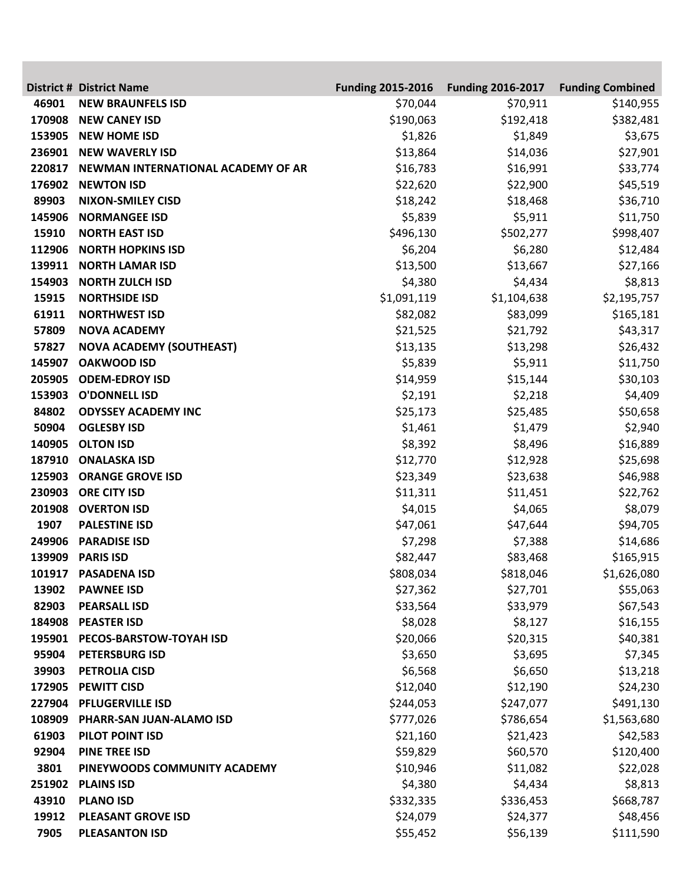|        | <b>District # District Name</b>    | <b>Funding 2015-2016</b> | <b>Funding 2016-2017</b> | <b>Funding Combined</b> |
|--------|------------------------------------|--------------------------|--------------------------|-------------------------|
| 46901  | <b>NEW BRAUNFELS ISD</b>           | \$70,044                 | \$70,911                 | \$140,955               |
| 170908 | <b>NEW CANEY ISD</b>               | \$190,063                | \$192,418                | \$382,481               |
| 153905 | <b>NEW HOME ISD</b>                | \$1,826                  | \$1,849                  | \$3,675                 |
| 236901 | <b>NEW WAVERLY ISD</b>             | \$13,864                 | \$14,036                 | \$27,901                |
| 220817 | NEWMAN INTERNATIONAL ACADEMY OF AR | \$16,783                 | \$16,991                 | \$33,774                |
| 176902 | <b>NEWTON ISD</b>                  | \$22,620                 | \$22,900                 | \$45,519                |
| 89903  | <b>NIXON-SMILEY CISD</b>           | \$18,242                 | \$18,468                 | \$36,710                |
| 145906 | <b>NORMANGEE ISD</b>               | \$5,839                  | \$5,911                  | \$11,750                |
| 15910  | <b>NORTH EAST ISD</b>              | \$496,130                | \$502,277                | \$998,407               |
| 112906 | <b>NORTH HOPKINS ISD</b>           | \$6,204                  | \$6,280                  | \$12,484                |
| 139911 | <b>NORTH LAMAR ISD</b>             | \$13,500                 | \$13,667                 | \$27,166                |
| 154903 | <b>NORTH ZULCH ISD</b>             | \$4,380                  | \$4,434                  | \$8,813                 |
| 15915  | <b>NORTHSIDE ISD</b>               | \$1,091,119              | \$1,104,638              | \$2,195,757             |
| 61911  | <b>NORTHWEST ISD</b>               | \$82,082                 | \$83,099                 | \$165,181               |
| 57809  | <b>NOVA ACADEMY</b>                | \$21,525                 | \$21,792                 | \$43,317                |
| 57827  | <b>NOVA ACADEMY (SOUTHEAST)</b>    | \$13,135                 | \$13,298                 | \$26,432                |
| 145907 | <b>OAKWOOD ISD</b>                 | \$5,839                  | \$5,911                  | \$11,750                |
| 205905 | <b>ODEM-EDROY ISD</b>              | \$14,959                 | \$15,144                 | \$30,103                |
| 153903 | <b>O'DONNELL ISD</b>               | \$2,191                  | \$2,218                  | \$4,409                 |
| 84802  | <b>ODYSSEY ACADEMY INC</b>         | \$25,173                 | \$25,485                 | \$50,658                |
| 50904  | <b>OGLESBY ISD</b>                 | \$1,461                  | \$1,479                  | \$2,940                 |
| 140905 | <b>OLTON ISD</b>                   | \$8,392                  | \$8,496                  | \$16,889                |
| 187910 | <b>ONALASKA ISD</b>                | \$12,770                 | \$12,928                 | \$25,698                |
| 125903 | <b>ORANGE GROVE ISD</b>            | \$23,349                 | \$23,638                 | \$46,988                |
| 230903 | <b>ORE CITY ISD</b>                | \$11,311                 | \$11,451                 | \$22,762                |
| 201908 | <b>OVERTON ISD</b>                 | \$4,015                  | \$4,065                  | \$8,079                 |
| 1907   | <b>PALESTINE ISD</b>               | \$47,061                 | \$47,644                 | \$94,705                |
| 249906 | <b>PARADISE ISD</b>                | \$7,298                  | \$7,388                  | \$14,686                |
| 139909 | <b>PARIS ISD</b>                   | \$82,447                 | \$83,468                 | \$165,915               |
|        | 101917 PASADENA ISD                | \$808,034                | \$818,046                | \$1,626,080             |
| 13902  | <b>PAWNEE ISD</b>                  | \$27,362                 | \$27,701                 | \$55,063                |
| 82903  | <b>PEARSALL ISD</b>                | \$33,564                 | \$33,979                 | \$67,543                |
| 184908 | <b>PEASTER ISD</b>                 | \$8,028                  | \$8,127                  | \$16,155                |
| 195901 | PECOS-BARSTOW-TOYAH ISD            | \$20,066                 | \$20,315                 | \$40,381                |
| 95904  | <b>PETERSBURG ISD</b>              | \$3,650                  | \$3,695                  | \$7,345                 |
| 39903  | <b>PETROLIA CISD</b>               | \$6,568                  | \$6,650                  | \$13,218                |
| 172905 | <b>PEWITT CISD</b>                 | \$12,040                 | \$12,190                 | \$24,230                |
| 227904 | <b>PFLUGERVILLE ISD</b>            | \$244,053                | \$247,077                | \$491,130               |
| 108909 | PHARR-SAN JUAN-ALAMO ISD           | \$777,026                | \$786,654                | \$1,563,680             |
| 61903  | PILOT POINT ISD                    | \$21,160                 | \$21,423                 | \$42,583                |
| 92904  | <b>PINE TREE ISD</b>               | \$59,829                 | \$60,570                 | \$120,400               |
| 3801   | PINEYWOODS COMMUNITY ACADEMY       | \$10,946                 | \$11,082                 | \$22,028                |
| 251902 | <b>PLAINS ISD</b>                  | \$4,380                  | \$4,434                  | \$8,813                 |
| 43910  | <b>PLANO ISD</b>                   | \$332,335                | \$336,453                | \$668,787               |
| 19912  | <b>PLEASANT GROVE ISD</b>          | \$24,079                 | \$24,377                 | \$48,456                |
| 7905   | <b>PLEASANTON ISD</b>              | \$55,452                 | \$56,139                 | \$111,590               |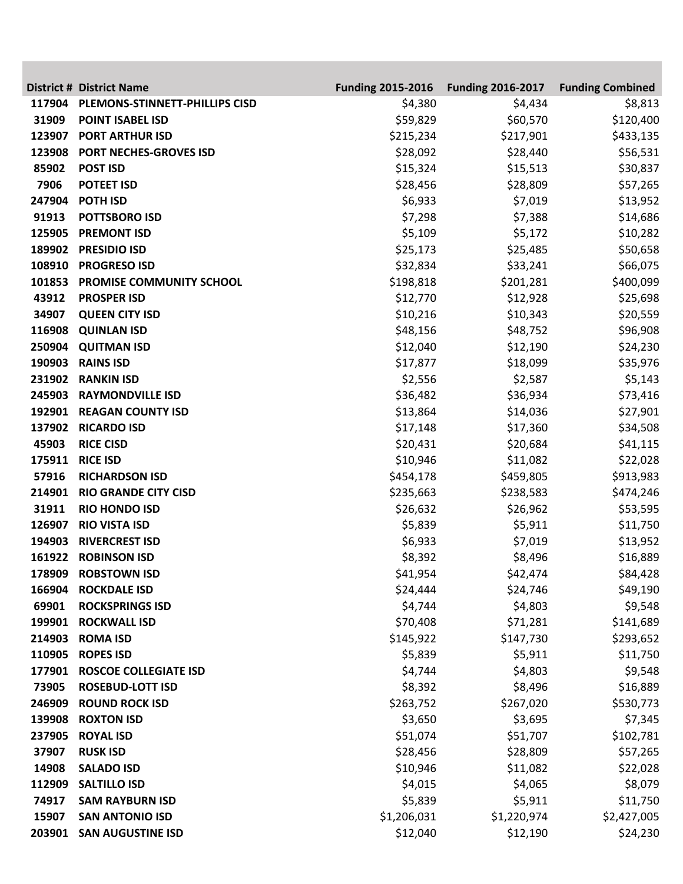|                 | <b>District # District Name</b>                     | <b>Funding 2015-2016</b> | <b>Funding 2016-2017</b> | <b>Funding Combined</b> |
|-----------------|-----------------------------------------------------|--------------------------|--------------------------|-------------------------|
| 117904          | PLEMONS-STINNETT-PHILLIPS CISD                      | \$4,380                  | \$4,434                  | \$8,813                 |
| 31909           | <b>POINT ISABEL ISD</b>                             | \$59,829                 | \$60,570                 | \$120,400               |
| 123907          | <b>PORT ARTHUR ISD</b>                              | \$215,234                | \$217,901                | \$433,135               |
| 123908          | PORT NECHES-GROVES ISD                              | \$28,092                 | \$28,440                 | \$56,531                |
| 85902           | <b>POST ISD</b>                                     | \$15,324                 | \$15,513                 | \$30,837                |
| 7906            | <b>POTEET ISD</b>                                   | \$28,456                 | \$28,809                 | \$57,265                |
| 247904          | <b>POTH ISD</b>                                     | \$6,933                  | \$7,019                  | \$13,952                |
| 91913           | <b>POTTSBORO ISD</b>                                | \$7,298                  | \$7,388                  | \$14,686                |
| 125905          | <b>PREMONT ISD</b>                                  | \$5,109                  | \$5,172                  | \$10,282                |
| 189902          | <b>PRESIDIO ISD</b>                                 | \$25,173                 | \$25,485                 | \$50,658                |
| 108910          | <b>PROGRESO ISD</b>                                 | \$32,834                 | \$33,241                 | \$66,075                |
| 101853          | PROMISE COMMUNITY SCHOOL                            | \$198,818                | \$201,281                | \$400,099               |
| 43912           | <b>PROSPER ISD</b>                                  | \$12,770                 | \$12,928                 | \$25,698                |
| 34907           | <b>QUEEN CITY ISD</b>                               | \$10,216                 | \$10,343                 | \$20,559                |
| 116908          | <b>QUINLAN ISD</b>                                  | \$48,156                 | \$48,752                 | \$96,908                |
| 250904          | <b>QUITMAN ISD</b>                                  | \$12,040                 | \$12,190                 | \$24,230                |
| 190903          | <b>RAINS ISD</b>                                    | \$17,877                 | \$18,099                 | \$35,976                |
| 231902          | <b>RANKIN ISD</b>                                   | \$2,556                  | \$2,587                  | \$5,143                 |
| 245903          | <b>RAYMONDVILLE ISD</b>                             | \$36,482                 | \$36,934                 | \$73,416                |
| 192901          | <b>REAGAN COUNTY ISD</b>                            | \$13,864                 | \$14,036                 | \$27,901                |
| 137902          | <b>RICARDO ISD</b>                                  | \$17,148                 | \$17,360                 | \$34,508                |
| 45903           | <b>RICE CISD</b>                                    | \$20,431                 | \$20,684                 | \$41,115                |
| 175911          | <b>RICE ISD</b>                                     | \$10,946                 | \$11,082                 | \$22,028                |
| 57916           | <b>RICHARDSON ISD</b>                               | \$454,178                | \$459,805                | \$913,983               |
| 214901<br>31911 | <b>RIO GRANDE CITY CISD</b><br><b>RIO HONDO ISD</b> | \$235,663                | \$238,583<br>\$26,962    | \$474,246<br>\$53,595   |
| 126907          | <b>RIO VISTA ISD</b>                                | \$26,632<br>\$5,839      | \$5,911                  | \$11,750                |
| 194903          | <b>RIVERCREST ISD</b>                               | \$6,933                  | \$7,019                  | \$13,952                |
| 161922          | <b>ROBINSON ISD</b>                                 | \$8,392                  | \$8,496                  | \$16,889                |
|                 | 178909 ROBSTOWN ISD                                 | \$41,954                 | \$42,474                 | \$84,428                |
|                 | 166904 ROCKDALE ISD                                 | \$24,444                 | \$24,746                 | \$49,190                |
| 69901           | <b>ROCKSPRINGS ISD</b>                              | \$4,744                  | \$4,803                  | \$9,548                 |
| 199901          | <b>ROCKWALL ISD</b>                                 | \$70,408                 | \$71,281                 | \$141,689               |
| 214903          | <b>ROMA ISD</b>                                     | \$145,922                | \$147,730                | \$293,652               |
| 110905          | <b>ROPES ISD</b>                                    | \$5,839                  | \$5,911                  | \$11,750                |
| 177901          | <b>ROSCOE COLLEGIATE ISD</b>                        | \$4,744                  | \$4,803                  | \$9,548                 |
| 73905           | <b>ROSEBUD-LOTT ISD</b>                             | \$8,392                  | \$8,496                  | \$16,889                |
| 246909          | <b>ROUND ROCK ISD</b>                               | \$263,752                | \$267,020                | \$530,773               |
| 139908          | <b>ROXTON ISD</b>                                   | \$3,650                  | \$3,695                  | \$7,345                 |
| 237905          | <b>ROYAL ISD</b>                                    | \$51,074                 | \$51,707                 | \$102,781               |
| 37907           | <b>RUSK ISD</b>                                     | \$28,456                 | \$28,809                 | \$57,265                |
| 14908           | <b>SALADO ISD</b>                                   | \$10,946                 | \$11,082                 | \$22,028                |
| 112909          | <b>SALTILLO ISD</b>                                 | \$4,015                  | \$4,065                  | \$8,079                 |
| 74917           | <b>SAM RAYBURN ISD</b>                              | \$5,839                  | \$5,911                  | \$11,750                |
| 15907           | <b>SAN ANTONIO ISD</b>                              | \$1,206,031              | \$1,220,974              | \$2,427,005             |
|                 | 203901 SAN AUGUSTINE ISD                            | \$12,040                 | \$12,190                 | \$24,230                |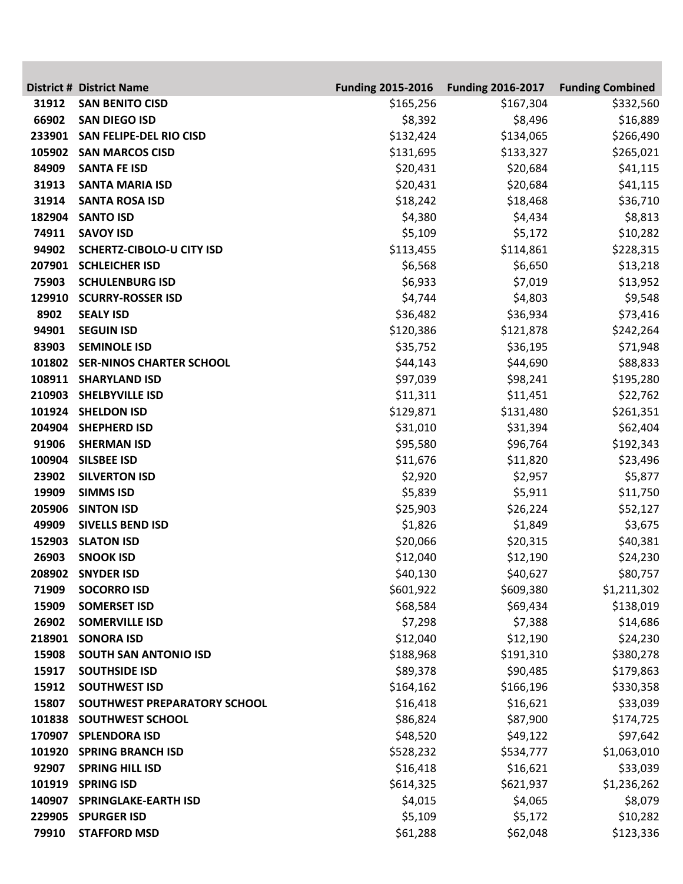|        | <b>District # District Name</b>           | <b>Funding 2015-2016</b> | <b>Funding 2016-2017</b> | <b>Funding Combined</b> |
|--------|-------------------------------------------|--------------------------|--------------------------|-------------------------|
| 31912  | <b>SAN BENITO CISD</b>                    | \$165,256                | \$167,304                | \$332,560               |
| 66902  | <b>SAN DIEGO ISD</b>                      | \$8,392                  | \$8,496                  | \$16,889                |
| 233901 | <b>SAN FELIPE-DEL RIO CISD</b>            | \$132,424                | \$134,065                | \$266,490               |
| 105902 | <b>SAN MARCOS CISD</b>                    | \$131,695                | \$133,327                | \$265,021               |
| 84909  | <b>SANTA FE ISD</b>                       | \$20,431                 | \$20,684                 | \$41,115                |
| 31913  | <b>SANTA MARIA ISD</b>                    | \$20,431                 | \$20,684                 | \$41,115                |
| 31914  | <b>SANTA ROSA ISD</b>                     | \$18,242                 | \$18,468                 | \$36,710                |
| 182904 | <b>SANTO ISD</b>                          | \$4,380                  | \$4,434                  | \$8,813                 |
| 74911  | <b>SAVOY ISD</b>                          | \$5,109                  | \$5,172                  | \$10,282                |
| 94902  | <b>SCHERTZ-CIBOLO-U CITY ISD</b>          | \$113,455                | \$114,861                | \$228,315               |
| 207901 | <b>SCHLEICHER ISD</b>                     | \$6,568                  | \$6,650                  | \$13,218                |
| 75903  | <b>SCHULENBURG ISD</b>                    | \$6,933                  | \$7,019                  | \$13,952                |
| 129910 | <b>SCURRY-ROSSER ISD</b>                  | \$4,744                  | \$4,803                  | \$9,548                 |
| 8902   | <b>SEALY ISD</b>                          | \$36,482                 | \$36,934                 | \$73,416                |
| 94901  | <b>SEGUIN ISD</b>                         | \$120,386                | \$121,878                | \$242,264               |
| 83903  | <b>SEMINOLE ISD</b>                       | \$35,752                 | \$36,195                 | \$71,948                |
| 101802 | <b>SER-NINOS CHARTER SCHOOL</b>           | \$44,143                 | \$44,690                 | \$88,833                |
| 108911 | <b>SHARYLAND ISD</b>                      | \$97,039                 | \$98,241                 | \$195,280               |
| 210903 | <b>SHELBYVILLE ISD</b>                    | \$11,311                 | \$11,451                 | \$22,762                |
| 204904 | 101924 SHELDON ISD                        | \$129,871                | \$131,480                | \$261,351               |
| 91906  | <b>SHEPHERD ISD</b><br><b>SHERMAN ISD</b> | \$31,010                 | \$31,394                 | \$62,404                |
| 100904 | <b>SILSBEE ISD</b>                        | \$95,580<br>\$11,676     | \$96,764<br>\$11,820     | \$192,343<br>\$23,496   |
| 23902  | <b>SILVERTON ISD</b>                      | \$2,920                  | \$2,957                  | \$5,877                 |
| 19909  | <b>SIMMS ISD</b>                          | \$5,839                  | \$5,911                  | \$11,750                |
| 205906 | <b>SINTON ISD</b>                         | \$25,903                 | \$26,224                 | \$52,127                |
| 49909  | <b>SIVELLS BEND ISD</b>                   | \$1,826                  | \$1,849                  | \$3,675                 |
| 152903 | <b>SLATON ISD</b>                         | \$20,066                 | \$20,315                 | \$40,381                |
| 26903  | <b>SNOOK ISD</b>                          | \$12,040                 | \$12,190                 | \$24,230                |
|        | 208902 SNYDER ISD                         | \$40,130                 | \$40,627                 | \$80,757                |
| 71909  | <b>SOCORRO ISD</b>                        | \$601,922                | \$609,380                | \$1,211,302             |
| 15909  | <b>SOMERSET ISD</b>                       | \$68,584                 | \$69,434                 | \$138,019               |
| 26902  | <b>SOMERVILLE ISD</b>                     | \$7,298                  | \$7,388                  | \$14,686                |
| 218901 | <b>SONORA ISD</b>                         | \$12,040                 | \$12,190                 | \$24,230                |
| 15908  | <b>SOUTH SAN ANTONIO ISD</b>              | \$188,968                | \$191,310                | \$380,278               |
| 15917  | <b>SOUTHSIDE ISD</b>                      | \$89,378                 | \$90,485                 | \$179,863               |
| 15912  | <b>SOUTHWEST ISD</b>                      | \$164,162                | \$166,196                | \$330,358               |
| 15807  | SOUTHWEST PREPARATORY SCHOOL              | \$16,418                 | \$16,621                 | \$33,039                |
| 101838 | <b>SOUTHWEST SCHOOL</b>                   | \$86,824                 | \$87,900                 | \$174,725               |
|        | 170907 SPLENDORA ISD                      | \$48,520                 | \$49,122                 | \$97,642                |
| 101920 | <b>SPRING BRANCH ISD</b>                  | \$528,232                | \$534,777                | \$1,063,010             |
| 92907  | <b>SPRING HILL ISD</b>                    | \$16,418                 | \$16,621                 | \$33,039                |
| 101919 | <b>SPRING ISD</b>                         | \$614,325                | \$621,937                | \$1,236,262             |
| 140907 | <b>SPRINGLAKE-EARTH ISD</b>               | \$4,015                  | \$4,065                  | \$8,079                 |
| 229905 | <b>SPURGER ISD</b>                        | \$5,109                  | \$5,172                  | \$10,282                |
| 79910  | <b>STAFFORD MSD</b>                       | \$61,288                 | \$62,048                 | \$123,336               |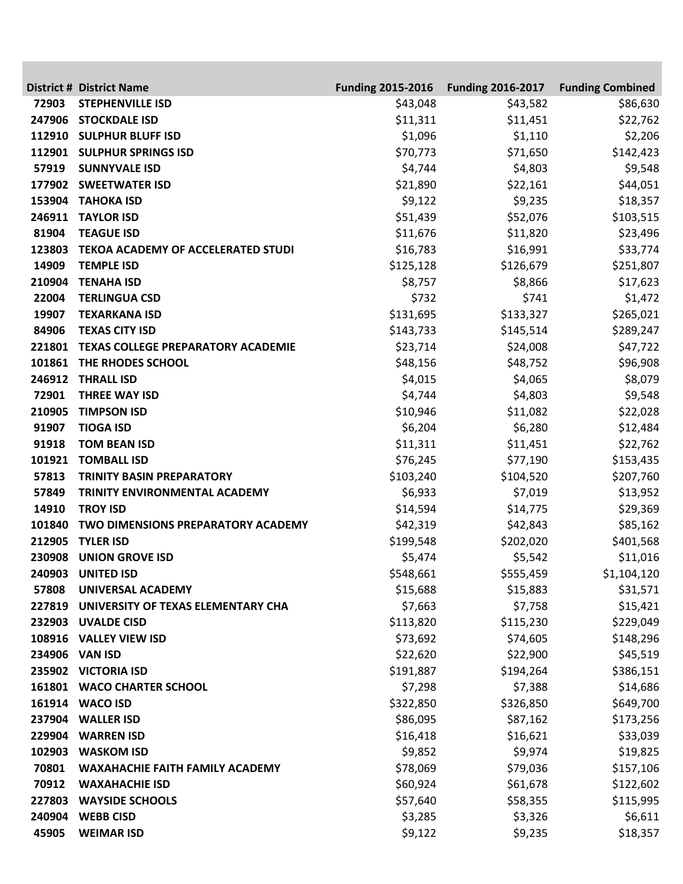|        | <b>District # District Name</b>           | <b>Funding 2015-2016</b> | <b>Funding 2016-2017</b> | <b>Funding Combined</b> |
|--------|-------------------------------------------|--------------------------|--------------------------|-------------------------|
| 72903  | <b>STEPHENVILLE ISD</b>                   | \$43,048                 | \$43,582                 | \$86,630                |
| 247906 | <b>STOCKDALE ISD</b>                      | \$11,311                 | \$11,451                 | \$22,762                |
| 112910 | <b>SULPHUR BLUFF ISD</b>                  | \$1,096                  | \$1,110                  | \$2,206                 |
| 112901 | <b>SULPHUR SPRINGS ISD</b>                | \$70,773                 | \$71,650                 | \$142,423               |
| 57919  | <b>SUNNYVALE ISD</b>                      | \$4,744                  | \$4,803                  | \$9,548                 |
| 177902 | <b>SWEETWATER ISD</b>                     | \$21,890                 | \$22,161                 | \$44,051                |
| 153904 | <b>TAHOKA ISD</b>                         | \$9,122                  | \$9,235                  | \$18,357                |
| 246911 | <b>TAYLOR ISD</b>                         | \$51,439                 | \$52,076                 | \$103,515               |
| 81904  | <b>TEAGUE ISD</b>                         | \$11,676                 | \$11,820                 | \$23,496                |
| 123803 | <b>TEKOA ACADEMY OF ACCELERATED STUDI</b> | \$16,783                 | \$16,991                 | \$33,774                |
| 14909  | <b>TEMPLE ISD</b>                         | \$125,128                | \$126,679                | \$251,807               |
| 210904 | <b>TENAHA ISD</b>                         | \$8,757                  | \$8,866                  | \$17,623                |
| 22004  | <b>TERLINGUA CSD</b>                      | \$732                    | \$741                    | \$1,472                 |
| 19907  | <b>TEXARKANA ISD</b>                      | \$131,695                | \$133,327                | \$265,021               |
| 84906  | <b>TEXAS CITY ISD</b>                     | \$143,733                | \$145,514                | \$289,247               |
| 221801 | <b>TEXAS COLLEGE PREPARATORY ACADEMIE</b> | \$23,714                 | \$24,008                 | \$47,722                |
| 101861 | THE RHODES SCHOOL                         | \$48,156                 | \$48,752                 | \$96,908                |
| 246912 | <b>THRALL ISD</b>                         | \$4,015                  | \$4,065                  | \$8,079                 |
| 72901  | <b>THREE WAY ISD</b>                      | \$4,744                  | \$4,803                  | \$9,548                 |
| 210905 | <b>TIMPSON ISD</b>                        | \$10,946                 | \$11,082                 | \$22,028                |
| 91907  | <b>TIOGA ISD</b>                          | \$6,204                  | \$6,280                  | \$12,484                |
| 91918  | <b>TOM BEAN ISD</b>                       | \$11,311                 | \$11,451                 | \$22,762                |
| 101921 | <b>TOMBALL ISD</b>                        | \$76,245                 | \$77,190                 | \$153,435               |
| 57813  | <b>TRINITY BASIN PREPARATORY</b>          | \$103,240                | \$104,520                | \$207,760               |
| 57849  | TRINITY ENVIRONMENTAL ACADEMY             | \$6,933                  | \$7,019                  | \$13,952                |
| 14910  | <b>TROY ISD</b>                           | \$14,594                 | \$14,775                 | \$29,369                |
| 101840 | TWO DIMENSIONS PREPARATORY ACADEMY        | \$42,319                 | \$42,843                 | \$85,162                |
| 212905 | <b>TYLER ISD</b>                          | \$199,548                | \$202,020                | \$401,568               |
| 230908 | <b>UNION GROVE ISD</b>                    | \$5,474                  | \$5,542                  | \$11,016                |
|        | 240903 UNITED ISD                         | \$548,661                | \$555,459                | \$1,104,120             |
| 57808  | UNIVERSAL ACADEMY                         | \$15,688                 | \$15,883                 | \$31,571                |
| 227819 | UNIVERSITY OF TEXAS ELEMENTARY CHA        | \$7,663                  | \$7,758                  | \$15,421                |
| 232903 | <b>UVALDE CISD</b>                        | \$113,820                | \$115,230                | \$229,049               |
|        | 108916 VALLEY VIEW ISD                    | \$73,692                 | \$74,605                 | \$148,296               |
| 234906 | <b>VAN ISD</b>                            | \$22,620                 | \$22,900                 | \$45,519                |
|        | 235902 VICTORIA ISD                       | \$191,887                | \$194,264                | \$386,151               |
|        | 161801 WACO CHARTER SCHOOL                | \$7,298                  | \$7,388                  | \$14,686                |
|        | 161914 WACO ISD                           | \$322,850                | \$326,850                | \$649,700               |
| 237904 | <b>WALLER ISD</b>                         | \$86,095                 | \$87,162                 | \$173,256               |
| 229904 | <b>WARREN ISD</b>                         | \$16,418                 | \$16,621                 | \$33,039                |
| 102903 | <b>WASKOM ISD</b>                         | \$9,852                  | \$9,974                  | \$19,825                |
| 70801  | <b>WAXAHACHIE FAITH FAMILY ACADEMY</b>    | \$78,069                 | \$79,036                 | \$157,106               |
| 70912  | <b>WAXAHACHIE ISD</b>                     | \$60,924                 | \$61,678                 | \$122,602               |
| 227803 | <b>WAYSIDE SCHOOLS</b>                    | \$57,640                 | \$58,355                 | \$115,995               |
| 240904 | <b>WEBB CISD</b>                          | \$3,285                  | \$3,326                  | \$6,611                 |
| 45905  | <b>WEIMAR ISD</b>                         | \$9,122                  | \$9,235                  | \$18,357                |